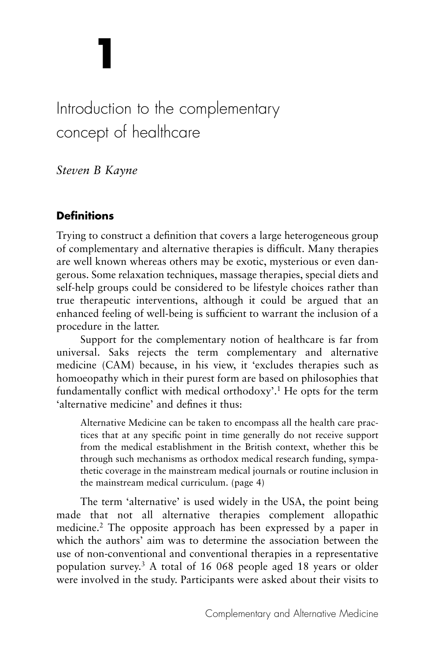# Introduction to the complementary concept of healthcare

*Steven B Kayne*

**1**

## **Definitions**

Trying to construct a definition that covers a large heterogeneous group of complementary and alternative therapies is difficult. Many therapies are well known whereas others may be exotic, mysterious or even dangerous. Some relaxation techniques, massage therapies, special diets and self-help groups could be considered to be lifestyle choices rather than true therapeutic interventions, although it could be argued that an enhanced feeling of well-being is sufficient to warrant the inclusion of a procedure in the latter.

Support for the complementary notion of healthcare is far from universal. Saks rejects the term complementary and alternative medicine (CAM) because, in his view, it 'excludes therapies such as homoeopathy which in their purest form are based on philosophies that fundamentally conflict with medical orthodoxy'.1 He opts for the term 'alternative medicine' and defines it thus:

Alternative Medicine can be taken to encompass all the health care practices that at any specific point in time generally do not receive support from the medical establishment in the British context, whether this be through such mechanisms as orthodox medical research funding, sympathetic coverage in the mainstream medical journals or routine inclusion in the mainstream medical curriculum. (page 4)

The term 'alternative' is used widely in the USA, the point being made that not all alternative therapies complement allopathic medicine.2 The opposite approach has been expressed by a paper in which the authors' aim was to determine the association between the use of non-conventional and conventional therapies in a representative population survey.3 A total of 16 068 people aged 18 years or older were involved in the study. Participants were asked about their visits to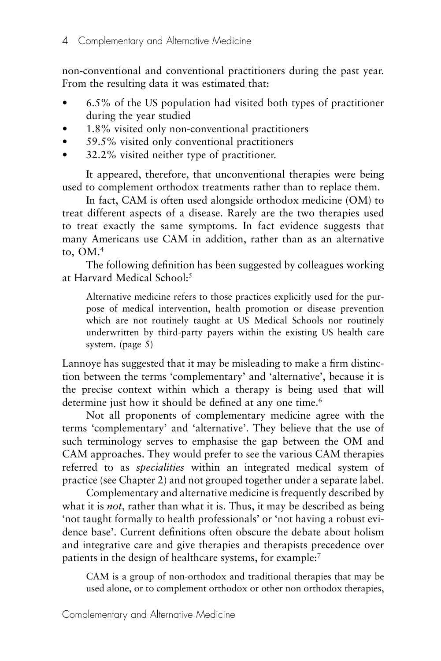non-conventional and conventional practitioners during the past year. From the resulting data it was estimated that:

- 6.5% of the US population had visited both types of practitioner during the year studied
- 1.8% visited only non-conventional practitioners
- 59.5% visited only conventional practitioners
- 32.2% visited neither type of practitioner.

It appeared, therefore, that unconventional therapies were being used to complement orthodox treatments rather than to replace them.

In fact, CAM is often used alongside orthodox medicine (OM) to treat different aspects of a disease. Rarely are the two therapies used to treat exactly the same symptoms. In fact evidence suggests that many Americans use CAM in addition, rather than as an alternative to,  $OM<sup>4</sup>$ 

The following definition has been suggested by colleagues working at Harvard Medical School:5

Alternative medicine refers to those practices explicitly used for the purpose of medical intervention, health promotion or disease prevention which are not routinely taught at US Medical Schools nor routinely underwritten by third-party payers within the existing US health care system. (page 5)

Lannoye has suggested that it may be misleading to make a firm distinction between the terms 'complementary' and 'alternative', because it is the precise context within which a therapy is being used that will determine just how it should be defined at any one time.<sup>6</sup>

Not all proponents of complementary medicine agree with the terms 'complementary' and 'alternative'. They believe that the use of such terminology serves to emphasise the gap between the OM and CAM approaches. They would prefer to see the various CAM therapies referred to as *specialities* within an integrated medical system of practice (see Chapter 2) and not grouped together under a separate label.

Complementary and alternative medicine is frequently described by what it is *not*, rather than what it is. Thus, it may be described as being 'not taught formally to health professionals' or 'not having a robust evidence base'. Current definitions often obscure the debate about holism and integrative care and give therapies and therapists precedence over patients in the design of healthcare systems, for example:<sup>7</sup>

CAM is a group of non-orthodox and traditional therapies that may be used alone, or to complement orthodox or other non orthodox therapies,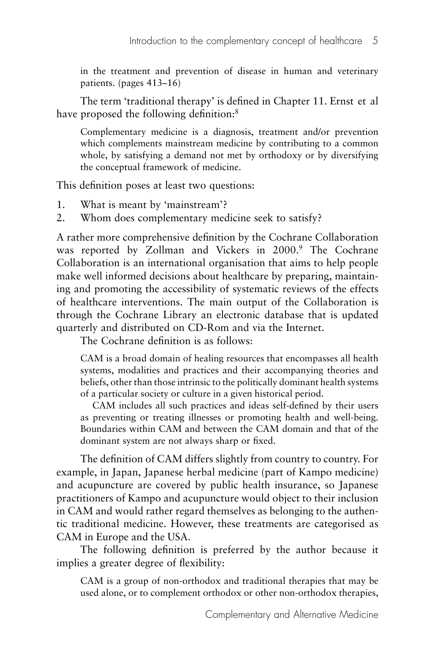in the treatment and prevention of disease in human and veterinary patients. (pages 413–16)

The term 'traditional therapy' is defined in Chapter 11. Ernst et al have proposed the following definition:<sup>8</sup>

Complementary medicine is a diagnosis, treatment and/or prevention which complements mainstream medicine by contributing to a common whole, by satisfying a demand not met by orthodoxy or by diversifying the conceptual framework of medicine.

This definition poses at least two questions:

- 1. What is meant by 'mainstream'?
- 2. Whom does complementary medicine seek to satisfy?

A rather more comprehensive definition by the Cochrane Collaboration was reported by Zollman and Vickers in 2000.<sup>9</sup> The Cochrane Collaboration is an international organisation that aims to help people make well informed decisions about healthcare by preparing, maintaining and promoting the accessibility of systematic reviews of the effects of healthcare interventions. The main output of the Collaboration is through the Cochrane Library an electronic database that is updated quarterly and distributed on CD-Rom and via the Internet.

The Cochrane definition is as follows:

CAM is a broad domain of healing resources that encompasses all health systems, modalities and practices and their accompanying theories and beliefs, other than those intrinsic to the politically dominant health systems of a particular society or culture in a given historical period.

CAM includes all such practices and ideas self-defined by their users as preventing or treating illnesses or promoting health and well-being. Boundaries within CAM and between the CAM domain and that of the dominant system are not always sharp or fixed.

The definition of CAM differs slightly from country to country. For example, in Japan, Japanese herbal medicine (part of Kampo medicine) and acupuncture are covered by public health insurance, so Japanese practitioners of Kampo and acupuncture would object to their inclusion in CAM and would rather regard themselves as belonging to the authentic traditional medicine. However, these treatments are categorised as CAM in Europe and the USA.

The following definition is preferred by the author because it implies a greater degree of flexibility:

CAM is a group of non-orthodox and traditional therapies that may be used alone, or to complement orthodox or other non-orthodox therapies,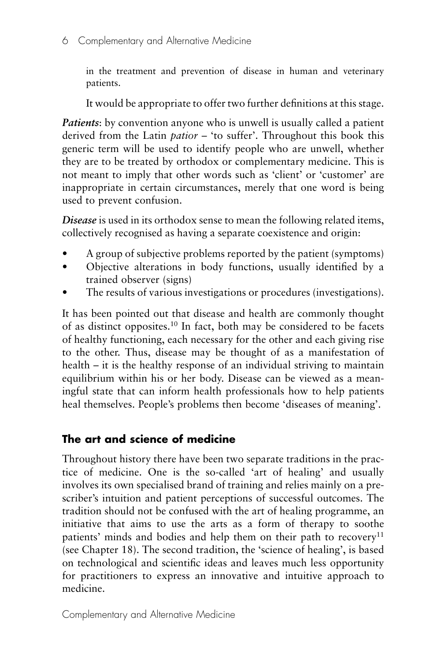#### 6 Complementary and Alternative Medicine

in the treatment and prevention of disease in human and veterinary patients.

It would be appropriate to offer two further definitions at this stage.

*Patients*: by convention anyone who is unwell is usually called a patient derived from the Latin *patior* – 'to suffer'. Throughout this book this generic term will be used to identify people who are unwell, whether they are to be treated by orthodox or complementary medicine. This is not meant to imply that other words such as 'client' or 'customer' are inappropriate in certain circumstances, merely that one word is being used to prevent confusion.

*Disease* is used in its orthodox sense to mean the following related items, collectively recognised as having a separate coexistence and origin:

- A group of subjective problems reported by the patient (symptoms)
- Objective alterations in body functions, usually identified by a trained observer (signs)
- The results of various investigations or procedures (investigations).

It has been pointed out that disease and health are commonly thought of as distinct opposites.10 In fact, both may be considered to be facets of healthy functioning, each necessary for the other and each giving rise to the other. Thus, disease may be thought of as a manifestation of health – it is the healthy response of an individual striving to maintain equilibrium within his or her body. Disease can be viewed as a meaningful state that can inform health professionals how to help patients heal themselves. People's problems then become 'diseases of meaning'.

## **The art and science of medicine**

Throughout history there have been two separate traditions in the practice of medicine. One is the so-called 'art of healing' and usually involves its own specialised brand of training and relies mainly on a prescriber's intuition and patient perceptions of successful outcomes. The tradition should not be confused with the art of healing programme, an initiative that aims to use the arts as a form of therapy to soothe patients' minds and bodies and help them on their path to recovery<sup>11</sup> (see Chapter 18). The second tradition, the 'science of healing', is based on technological and scientific ideas and leaves much less opportunity for practitioners to express an innovative and intuitive approach to medicine.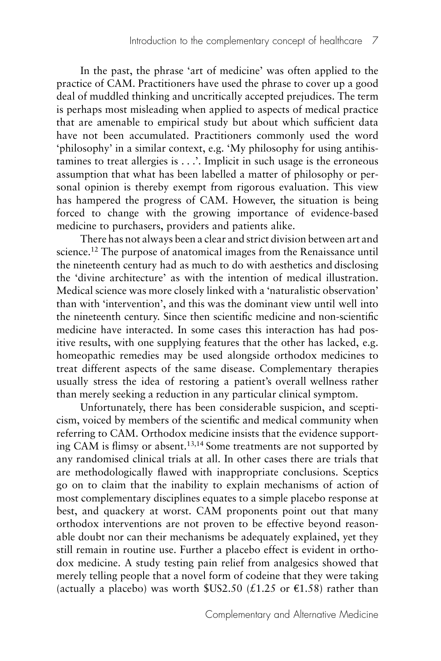In the past, the phrase 'art of medicine' was often applied to the practice of CAM. Practitioners have used the phrase to cover up a good deal of muddled thinking and uncritically accepted prejudices. The term is perhaps most misleading when applied to aspects of medical practice that are amenable to empirical study but about which sufficient data have not been accumulated. Practitioners commonly used the word 'philosophy' in a similar context, e.g. 'My philosophy for using antihistamines to treat allergies is . . .'. Implicit in such usage is the erroneous assumption that what has been labelled a matter of philosophy or personal opinion is thereby exempt from rigorous evaluation. This view has hampered the progress of CAM. However, the situation is being forced to change with the growing importance of evidence-based medicine to purchasers, providers and patients alike.

There has not always been a clear and strict division between art and science.12 The purpose of anatomical images from the Renaissance until the nineteenth century had as much to do with aesthetics and disclosing the 'divine architecture' as with the intention of medical illustration. Medical science was more closely linked with a 'naturalistic observation' than with 'intervention', and this was the dominant view until well into the nineteenth century. Since then scientific medicine and non-scientific medicine have interacted. In some cases this interaction has had positive results, with one supplying features that the other has lacked, e.g. homeopathic remedies may be used alongside orthodox medicines to treat different aspects of the same disease. Complementary therapies usually stress the idea of restoring a patient's overall wellness rather than merely seeking a reduction in any particular clinical symptom.

Unfortunately, there has been considerable suspicion, and scepticism, voiced by members of the scientific and medical community when referring to CAM. Orthodox medicine insists that the evidence supporting CAM is flimsy or absent.13,14 Some treatments are not supported by any randomised clinical trials at all. In other cases there are trials that are methodologically flawed with inappropriate conclusions. Sceptics go on to claim that the inability to explain mechanisms of action of most complementary disciplines equates to a simple placebo response at best, and quackery at worst. CAM proponents point out that many orthodox interventions are not proven to be effective beyond reasonable doubt nor can their mechanisms be adequately explained, yet they still remain in routine use. Further a placebo effect is evident in orthodox medicine. A study testing pain relief from analgesics showed that merely telling people that a novel form of codeine that they were taking (actually a placebo) was worth \$US2.50 (£1.25 or  $\epsilon$ 1.58) rather than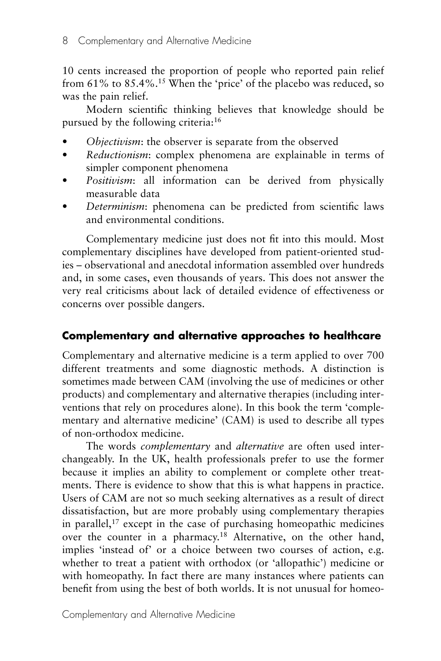10 cents increased the proportion of people who reported pain relief from 61% to 85.4%.15 When the 'price' of the placebo was reduced, so was the pain relief.

Modern scientific thinking believes that knowledge should be pursued by the following criteria:16

- *Objectivism*: the observer is separate from the observed
- *Reductionism*: complex phenomena are explainable in terms of simpler component phenomena
- *Positivism*: all information can be derived from physically measurable data
- *Determinism*: phenomena can be predicted from scientific laws and environmental conditions.

Complementary medicine just does not fit into this mould. Most complementary disciplines have developed from patient-oriented studies – observational and anecdotal information assembled over hundreds and, in some cases, even thousands of years. This does not answer the very real criticisms about lack of detailed evidence of effectiveness or concerns over possible dangers.

## **Complementary and alternative approaches to healthcare**

Complementary and alternative medicine is a term applied to over 700 different treatments and some diagnostic methods. A distinction is sometimes made between CAM (involving the use of medicines or other products) and complementary and alternative therapies (including interventions that rely on procedures alone). In this book the term 'complementary and alternative medicine' (CAM) is used to describe all types of non-orthodox medicine.

The words *complementary* and *alternative* are often used interchangeably. In the UK, health professionals prefer to use the former because it implies an ability to complement or complete other treatments. There is evidence to show that this is what happens in practice. Users of CAM are not so much seeking alternatives as a result of direct dissatisfaction, but are more probably using complementary therapies in parallel, $17$  except in the case of purchasing homeopathic medicines over the counter in a pharmacy.18 Alternative, on the other hand, implies 'instead of' or a choice between two courses of action, e.g. whether to treat a patient with orthodox (or 'allopathic') medicine or with homeopathy. In fact there are many instances where patients can benefit from using the best of both worlds. It is not unusual for homeo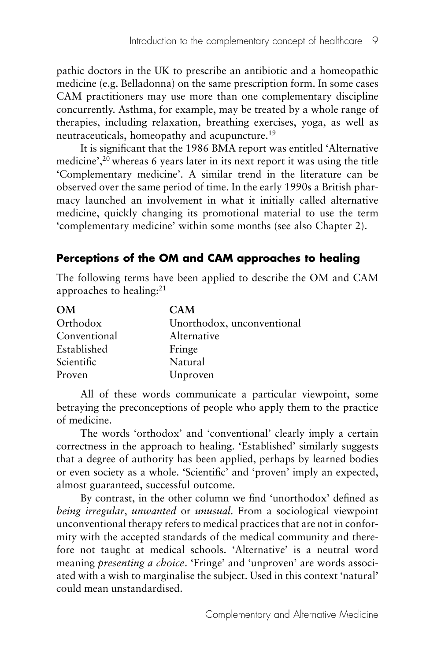pathic doctors in the UK to prescribe an antibiotic and a homeopathic medicine (e.g. Belladonna) on the same prescription form. In some cases CAM practitioners may use more than one complementary discipline concurrently. Asthma, for example, may be treated by a whole range of therapies, including relaxation, breathing exercises, yoga, as well as neutraceuticals, homeopathy and acupuncture.<sup>19</sup>

It is significant that the 1986 BMA report was entitled 'Alternative medicine',20 whereas 6 years later in its next report it was using the title 'Complementary medicine'. A similar trend in the literature can be observed over the same period of time. In the early 1990s a British pharmacy launched an involvement in what it initially called alternative medicine, quickly changing its promotional material to use the term 'complementary medicine' within some months (see also Chapter 2).

#### **Perceptions of the OM and CAM approaches to healing**

The following terms have been applied to describe the OM and CAM approaches to healing:<sup>21</sup>

| <b>OM</b>    | <b>CAM</b>                 |
|--------------|----------------------------|
| Orthodox     | Unorthodox, unconventional |
| Conventional | Alternative                |
| Established  | Fringe                     |
| Scientific   | Natural                    |
| Proven       | Unproven                   |

All of these words communicate a particular viewpoint, some betraying the preconceptions of people who apply them to the practice of medicine.

The words 'orthodox' and 'conventional' clearly imply a certain correctness in the approach to healing. 'Established' similarly suggests that a degree of authority has been applied, perhaps by learned bodies or even society as a whole. 'Scientific' and 'proven' imply an expected, almost guaranteed, successful outcome.

By contrast, in the other column we find 'unorthodox' defined as *being irregular*, *unwanted* or *unusual.* From a sociological viewpoint unconventional therapy refers to medical practices that are not in conformity with the accepted standards of the medical community and therefore not taught at medical schools. 'Alternative' is a neutral word meaning *presenting a choice*. 'Fringe' and 'unproven' are words associated with a wish to marginalise the subject. Used in this context 'natural' could mean unstandardised.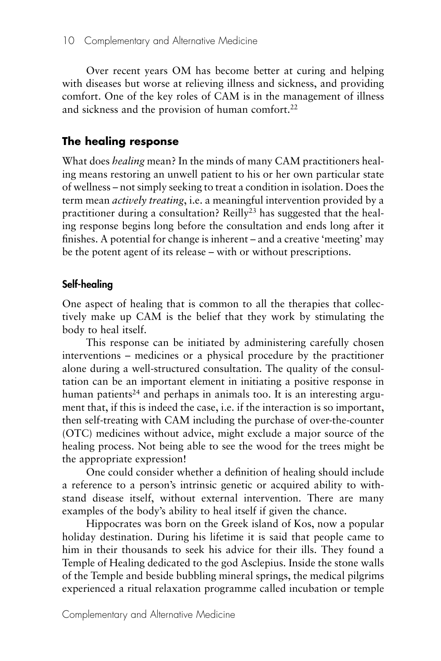Over recent years OM has become better at curing and helping with diseases but worse at relieving illness and sickness, and providing comfort. One of the key roles of CAM is in the management of illness and sickness and the provision of human comfort.<sup>22</sup>

### **The healing response**

What does *healing* mean? In the minds of many CAM practitioners healing means restoring an unwell patient to his or her own particular state of wellness – not simply seeking to treat a condition in isolation. Does the term mean *actively treating*, i.e. a meaningful intervention provided by a practitioner during a consultation? Reilly<sup>23</sup> has suggested that the healing response begins long before the consultation and ends long after it finishes. A potential for change is inherent – and a creative 'meeting' may be the potent agent of its release – with or without prescriptions.

#### **Self-healing**

One aspect of healing that is common to all the therapies that collectively make up CAM is the belief that they work by stimulating the body to heal itself.

This response can be initiated by administering carefully chosen interventions – medicines or a physical procedure by the practitioner alone during a well-structured consultation. The quality of the consultation can be an important element in initiating a positive response in human patients<sup>24</sup> and perhaps in animals too. It is an interesting argument that, if this is indeed the case, i.e. if the interaction is so important, then self-treating with CAM including the purchase of over-the-counter (OTC) medicines without advice, might exclude a major source of the healing process. Not being able to see the wood for the trees might be the appropriate expression!

One could consider whether a definition of healing should include a reference to a person's intrinsic genetic or acquired ability to withstand disease itself, without external intervention. There are many examples of the body's ability to heal itself if given the chance.

Hippocrates was born on the Greek island of Kos, now a popular holiday destination. During his lifetime it is said that people came to him in their thousands to seek his advice for their ills. They found a Temple of Healing dedicated to the god Asclepius. Inside the stone walls of the Temple and beside bubbling mineral springs, the medical pilgrims experienced a ritual relaxation programme called incubation or temple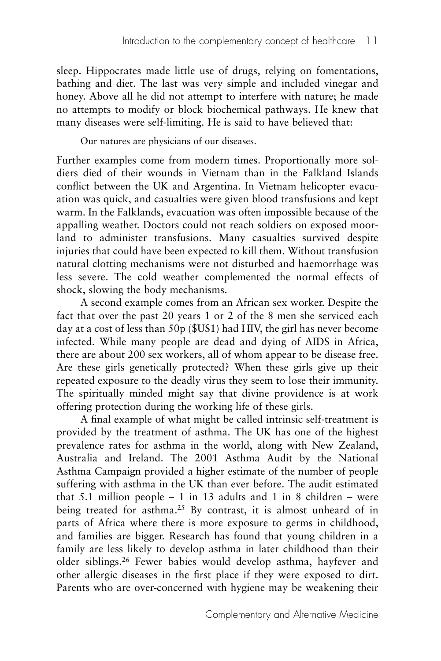sleep. Hippocrates made little use of drugs, relying on fomentations, bathing and diet. The last was very simple and included vinegar and honey. Above all he did not attempt to interfere with nature; he made no attempts to modify or block biochemical pathways. He knew that many diseases were self-limiting. He is said to have believed that:

Our natures are physicians of our diseases.

Further examples come from modern times. Proportionally more soldiers died of their wounds in Vietnam than in the Falkland Islands conflict between the UK and Argentina. In Vietnam helicopter evacuation was quick, and casualties were given blood transfusions and kept warm. In the Falklands, evacuation was often impossible because of the appalling weather. Doctors could not reach soldiers on exposed moorland to administer transfusions. Many casualties survived despite injuries that could have been expected to kill them. Without transfusion natural clotting mechanisms were not disturbed and haemorrhage was less severe. The cold weather complemented the normal effects of shock, slowing the body mechanisms.

A second example comes from an African sex worker. Despite the fact that over the past 20 years 1 or 2 of the 8 men she serviced each day at a cost of less than 50p (\$US1) had HIV, the girl has never become infected. While many people are dead and dying of AIDS in Africa, there are about 200 sex workers, all of whom appear to be disease free. Are these girls genetically protected? When these girls give up their repeated exposure to the deadly virus they seem to lose their immunity. The spiritually minded might say that divine providence is at work offering protection during the working life of these girls.

A final example of what might be called intrinsic self-treatment is provided by the treatment of asthma. The UK has one of the highest prevalence rates for asthma in the world, along with New Zealand, Australia and Ireland. The 2001 Asthma Audit by the National Asthma Campaign provided a higher estimate of the number of people suffering with asthma in the UK than ever before. The audit estimated that 5.1 million people  $-1$  in 13 adults and 1 in 8 children – were being treated for asthma.<sup>25</sup> By contrast, it is almost unheard of in parts of Africa where there is more exposure to germs in childhood, and families are bigger. Research has found that young children in a family are less likely to develop asthma in later childhood than their older siblings.26 Fewer babies would develop asthma, hayfever and other allergic diseases in the first place if they were exposed to dirt. Parents who are over-concerned with hygiene may be weakening their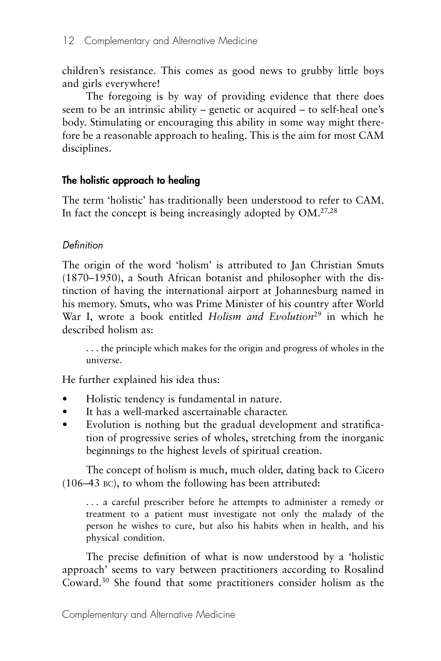children's resistance. This comes as good news to grubby little boys and girls everywhere!

The foregoing is by way of providing evidence that there does seem to be an intrinsic ability – genetic or acquired – to self-heal one's body. Stimulating or encouraging this ability in some way might therefore be a reasonable approach to healing. This is the aim for most CAM disciplines.

## **The holistic approach to healing**

The term 'holistic' has traditionally been understood to refer to CAM. In fact the concept is being increasingly adopted by  $OM.^{27,28}$ 

## Definition

The origin of the word 'holism' is attributed to Jan Christian Smuts (1870–1950), a South African botanist and philosopher with the distinction of having the international airport at Johannesburg named in his memory. Smuts, who was Prime Minister of his country after World War I, wrote a book entitled *Holism and Evolution*<sup>29</sup> in which he described holism as:

. . . the principle which makes for the origin and progress of wholes in the universe.

He further explained his idea thus:

- Holistic tendency is fundamental in nature.
- It has a well-marked ascertainable character.
- Evolution is nothing but the gradual development and stratification of progressive series of wholes, stretching from the inorganic beginnings to the highest levels of spiritual creation.

The concept of holism is much, much older, dating back to Cicero (106–43 BC), to whom the following has been attributed:

. . . a careful prescriber before he attempts to administer a remedy or treatment to a patient must investigate not only the malady of the person he wishes to cure, but also his habits when in health, and his physical condition.

The precise definition of what is now understood by a 'holistic approach' seems to vary between practitioners according to Rosalind Coward.30 She found that some practitioners consider holism as the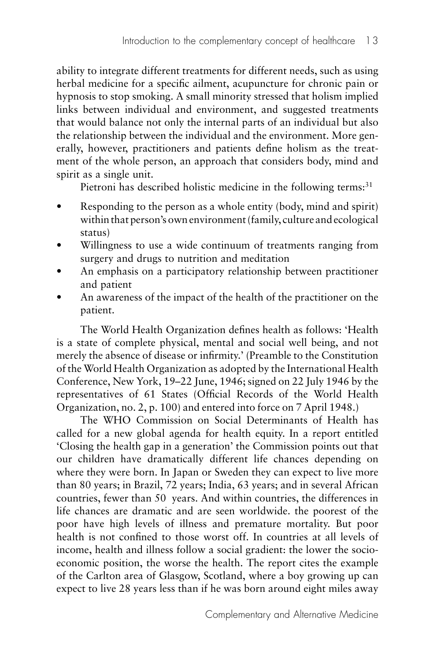ability to integrate different treatments for different needs, such as using herbal medicine for a specific ailment, acupuncture for chronic pain or hypnosis to stop smoking. A small minority stressed that holism implied links between individual and environment, and suggested treatments that would balance not only the internal parts of an individual but also the relationship between the individual and the environment. More generally, however, practitioners and patients define holism as the treatment of the whole person, an approach that considers body, mind and spirit as a single unit.

Pietroni has described holistic medicine in the following terms: $31$ 

- Responding to the person as a whole entity (body, mind and spirit) within that person's own environment (family, culture and ecological status)
- Willingness to use a wide continuum of treatments ranging from surgery and drugs to nutrition and meditation
- An emphasis on a participatory relationship between practitioner and patient
- An awareness of the impact of the health of the practitioner on the patient.

The World Health Organization defines health as follows: 'Health is a state of complete physical, mental and social well being, and not merely the absence of disease or infirmity.' (Preamble to the Constitution of the World Health Organization as adopted by the International Health Conference, New York, 19–22 June, 1946; signed on 22 July 1946 by the representatives of 61 States (Official Records of the World Health Organization, no. 2, p. 100) and entered into force on 7 April 1948.)

The WHO Commission on Social Determinants of Health has called for a new global agenda for health equity. In a report entitled 'Closing the health gap in a generation' the Commission points out that our children have dramatically different life chances depending on where they were born. In Japan or Sweden they can expect to live more than 80 years; in Brazil, 72 years; India, 63 years; and in several African countries, fewer than 50 years. And within countries, the differences in life chances are dramatic and are seen worldwide. the poorest of the poor have high levels of illness and premature mortality. But poor health is not confined to those worst off. In countries at all levels of income, health and illness follow a social gradient: the lower the socioeconomic position, the worse the health. The report cites the example of the Carlton area of Glasgow, Scotland, where a boy growing up can expect to live 28 years less than if he was born around eight miles away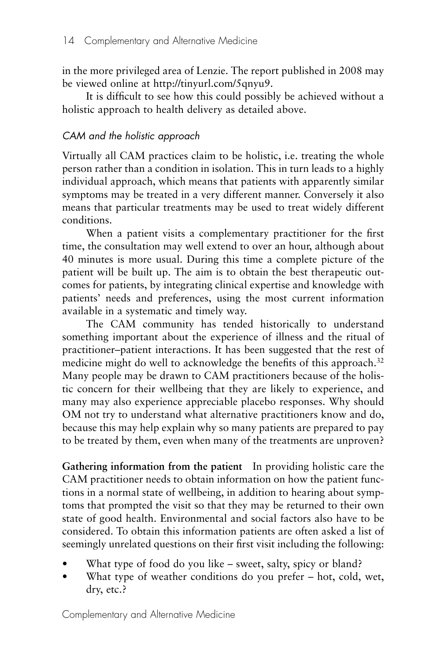in the more privileged area of Lenzie. The report published in 2008 may be viewed online at http://tinyurl.com/5qnyu9.

It is difficult to see how this could possibly be achieved without a holistic approach to health delivery as detailed above.

#### CAM and the holistic approach

Virtually all CAM practices claim to be holistic, i.e. treating the whole person rather than a condition in isolation. This in turn leads to a highly individual approach, which means that patients with apparently similar symptoms may be treated in a very different manner. Conversely it also means that particular treatments may be used to treat widely different conditions.

When a patient visits a complementary practitioner for the first time, the consultation may well extend to over an hour, although about 40 minutes is more usual. During this time a complete picture of the patient will be built up. The aim is to obtain the best therapeutic outcomes for patients, by integrating clinical expertise and knowledge with patients' needs and preferences, using the most current information available in a systematic and timely way.

The CAM community has tended historically to understand something important about the experience of illness and the ritual of practitioner–patient interactions. It has been suggested that the rest of medicine might do well to acknowledge the benefits of this approach.<sup>32</sup> Many people may be drawn to CAM practitioners because of the holistic concern for their wellbeing that they are likely to experience, and many may also experience appreciable placebo responses. Why should OM not try to understand what alternative practitioners know and do, because this may help explain why so many patients are prepared to pay to be treated by them, even when many of the treatments are unproven?

**Gathering information from the patient** In providing holistic care the CAM practitioner needs to obtain information on how the patient functions in a normal state of wellbeing, in addition to hearing about symptoms that prompted the visit so that they may be returned to their own state of good health. Environmental and social factors also have to be considered. To obtain this information patients are often asked a list of seemingly unrelated questions on their first visit including the following:

- What type of food do you like sweet, salty, spicy or bland?
- What type of weather conditions do you prefer  $-$  hot, cold, wet, dry, etc.?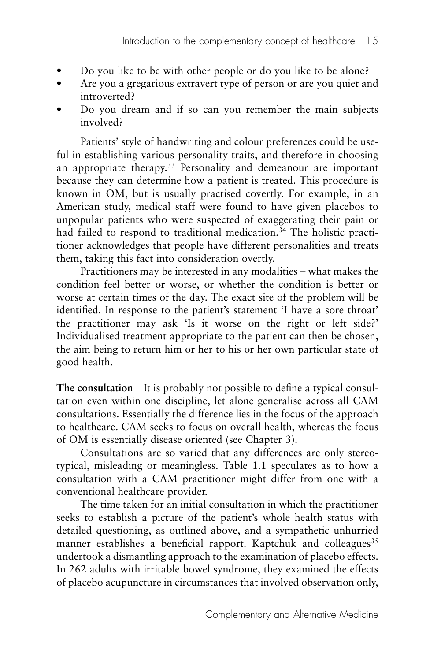- Do you like to be with other people or do you like to be alone?
- Are you a gregarious extravert type of person or are you quiet and introverted?
- Do you dream and if so can you remember the main subjects involved?

Patients' style of handwriting and colour preferences could be useful in establishing various personality traits, and therefore in choosing an appropriate therapy.33 Personality and demeanour are important because they can determine how a patient is treated. This procedure is known in OM, but is usually practised covertly. For example, in an American study, medical staff were found to have given placebos to unpopular patients who were suspected of exaggerating their pain or had failed to respond to traditional medication.<sup>34</sup> The holistic practitioner acknowledges that people have different personalities and treats them, taking this fact into consideration overtly.

Practitioners may be interested in any modalities – what makes the condition feel better or worse, or whether the condition is better or worse at certain times of the day. The exact site of the problem will be identified. In response to the patient's statement 'I have a sore throat' the practitioner may ask 'Is it worse on the right or left side?' Individualised treatment appropriate to the patient can then be chosen, the aim being to return him or her to his or her own particular state of good health.

**The consultation** It is probably not possible to define a typical consultation even within one discipline, let alone generalise across all CAM consultations. Essentially the difference lies in the focus of the approach to healthcare. CAM seeks to focus on overall health, whereas the focus of OM is essentially disease oriented (see Chapter 3).

Consultations are so varied that any differences are only stereotypical, misleading or meaningless. Table 1.1 speculates as to how a consultation with a CAM practitioner might differ from one with a conventional healthcare provider.

The time taken for an initial consultation in which the practitioner seeks to establish a picture of the patient's whole health status with detailed questioning, as outlined above, and a sympathetic unhurried manner establishes a beneficial rapport. Kaptchuk and colleagues<sup>35</sup> undertook a dismantling approach to the examination of placebo effects. In 262 adults with irritable bowel syndrome, they examined the effects of placebo acupuncture in circumstances that involved observation only,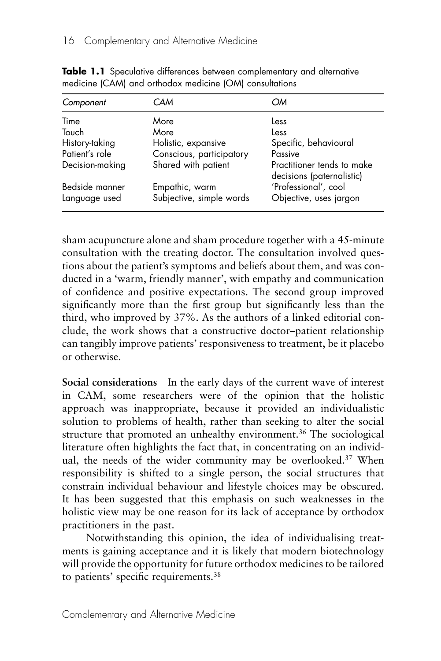| Component       | CAM                      | OМ                                                      |
|-----------------|--------------------------|---------------------------------------------------------|
| Time            | More                     | Less                                                    |
| Touch           | More                     | Less                                                    |
| History-taking  | Holistic, expansive      | Specific, behavioural                                   |
| Patient's role  | Conscious, participatory | Passive                                                 |
| Decision-making | Shared with patient      | Practitioner tends to make<br>decisions (paternalistic) |
| Bedside manner  | Empathic, warm           | 'Professional', cool                                    |
| Language used   | Subjective, simple words | Objective, uses jargon                                  |

**Table 1.1** Speculative differences between complementary and alternative medicine (CAM) and orthodox medicine (OM) consultations

sham acupuncture alone and sham procedure together with a 45-minute consultation with the treating doctor. The consultation involved questions about the patient's symptoms and beliefs about them, and was conducted in a 'warm, friendly manner', with empathy and communication of confidence and positive expectations. The second group improved significantly more than the first group but significantly less than the third, who improved by 37%. As the authors of a linked editorial conclude, the work shows that a constructive doctor–patient relationship can tangibly improve patients' responsiveness to treatment, be it placebo or otherwise.

**Social considerations** In the early days of the current wave of interest in CAM, some researchers were of the opinion that the holistic approach was inappropriate, because it provided an individualistic solution to problems of health, rather than seeking to alter the social structure that promoted an unhealthy environment.<sup>36</sup> The sociological literature often highlights the fact that, in concentrating on an individual, the needs of the wider community may be overlooked.<sup>37</sup> When responsibility is shifted to a single person, the social structures that constrain individual behaviour and lifestyle choices may be obscured. It has been suggested that this emphasis on such weaknesses in the holistic view may be one reason for its lack of acceptance by orthodox practitioners in the past.

Notwithstanding this opinion, the idea of individualising treatments is gaining acceptance and it is likely that modern biotechnology will provide the opportunity for future orthodox medicines to be tailored to patients' specific requirements.38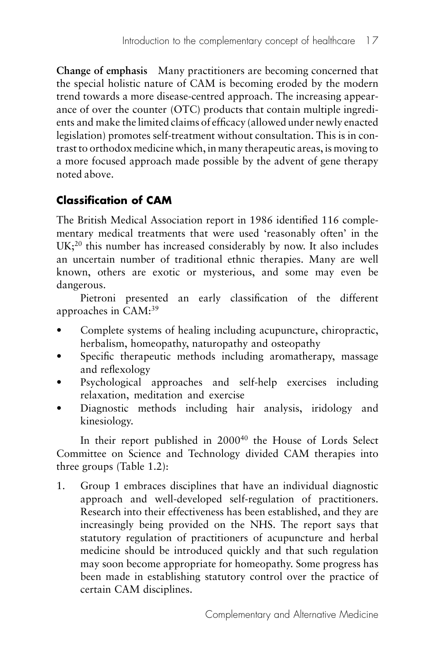**Change of emphasis** Many practitioners are becoming concerned that the special holistic nature of CAM is becoming eroded by the modern trend towards a more disease-centred approach. The increasing appearance of over the counter (OTC) products that contain multiple ingredients and make the limited claims of efficacy (allowed under newly enacted legislation) promotes self-treatment without consultation. This is in contrast to orthodox medicine which, in many therapeutic areas, is moving to a more focused approach made possible by the advent of gene therapy noted above.

## **Classification of CAM**

The British Medical Association report in 1986 identified 116 complementary medical treatments that were used 'reasonably often' in the UK;<sup>20</sup> this number has increased considerably by now. It also includes an uncertain number of traditional ethnic therapies. Many are well known, others are exotic or mysterious, and some may even be dangerous.

Pietroni presented an early classification of the different approaches in CAM:39

- Complete systems of healing including acupuncture, chiropractic, herbalism, homeopathy, naturopathy and osteopathy
- Specific therapeutic methods including aromatherapy, massage and reflexology
- Psychological approaches and self-help exercises including relaxation, meditation and exercise
- Diagnostic methods including hair analysis, iridology and kinesiology.

In their report published in 2000<sup>40</sup> the House of Lords Select Committee on Science and Technology divided CAM therapies into three groups (Table 1.2):

1. Group 1 embraces disciplines that have an individual diagnostic approach and well-developed self-regulation of practitioners. Research into their effectiveness has been established, and they are increasingly being provided on the NHS. The report says that statutory regulation of practitioners of acupuncture and herbal medicine should be introduced quickly and that such regulation may soon become appropriate for homeopathy. Some progress has been made in establishing statutory control over the practice of certain CAM disciplines.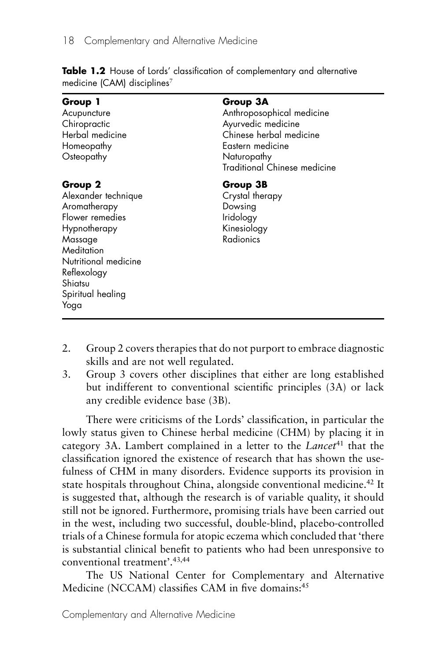| Table 1.2 House of Lords' classification of complementary and alternative |  |  |
|---------------------------------------------------------------------------|--|--|
| medicine (CAM) disciplines <sup>7</sup>                                   |  |  |

| Group 1<br>Acupuncture<br>Chiropractic<br>Herbal medicine<br>Homeopathy<br>Osteopathy                                                                                                     | Group 3A<br>Anthroposophical medicine<br>Ayurvedic medicine<br>Chinese herbal medicine<br>Eastern medicine<br>Naturopathy<br><b>Traditional Chinese medicine</b> |
|-------------------------------------------------------------------------------------------------------------------------------------------------------------------------------------------|------------------------------------------------------------------------------------------------------------------------------------------------------------------|
| Group 2<br>Alexander technique<br>Aromatherapy<br>Flower remedies<br>Hypnotherapy<br>Massage<br>Meditation<br>Nutritional medicine<br>Reflexology<br>Shiatsu<br>Spiritual healing<br>Yoga | Group 3B<br>Crystal therapy<br>Dowsing<br>Iridology<br>Kinesiology<br>Radionics                                                                                  |

- 2. Group 2 covers therapies that do not purport to embrace diagnostic skills and are not well regulated.
- 3. Group 3 covers other disciplines that either are long established but indifferent to conventional scientific principles (3A) or lack any credible evidence base (3B).

There were criticisms of the Lords' classification, in particular the lowly status given to Chinese herbal medicine (CHM) by placing it in category 3A. Lambert complained in a letter to the *Lancet*<sup>41</sup> that the classification ignored the existence of research that has shown the usefulness of CHM in many disorders. Evidence supports its provision in state hospitals throughout China, alongside conventional medicine.<sup>42</sup> It is suggested that, although the research is of variable quality, it should still not be ignored. Furthermore, promising trials have been carried out in the west, including two successful, double-blind, placebo-controlled trials of a Chinese formula for atopic eczema which concluded that 'there is substantial clinical benefit to patients who had been unresponsive to conventional treatment'.43,44

The US National Center for Complementary and Alternative Medicine (NCCAM) classifies CAM in five domains:<sup>45</sup>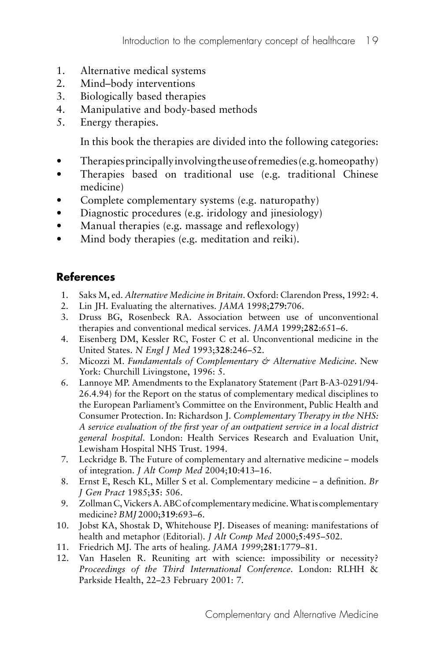- 1. Alternative medical systems
- 2. Mind–body interventions
- 3. Biologically based therapies
- 4. Manipulative and body-based methods
- 5. Energy therapies.

In this book the therapies are divided into the following categories:

- Therapiesprincipallyinvolvingtheuseofremedies(e.g.homeopathy)
- Therapies based on traditional use (e.g. traditional Chinese medicine)
- Complete complementary systems (e.g. naturopathy)
- Diagnostic procedures (e.g. iridology and jinesiology)
- Manual therapies (e.g. massage and reflexology)
- Mind body therapies (e.g. meditation and reiki).

#### **References**

- 1. Saks M, ed. *Alternative Medicine in Britain*. Oxford: Clarendon Press, 1992: 4.
- 2. Lin JH. Evaluating the alternatives. *JAMA* 1998;**279:**706.
- 3. Druss BG, Rosenbeck RA. Association between use of unconventional therapies and conventional medical services. *JAMA* 1999;**282**:651–6.
- 4. Eisenberg DM, Kessler RC, Foster C et al. Unconventional medicine in the United States. *N Engl J Med* 1993;**328**:246–52.
- 5. Micozzi M. *Fundamentals of Complementary & Alternative Medicine*. New York: Churchill Livingstone, 1996: 5.
- 6. Lannoye MP. Amendments to the Explanatory Statement (Part B-A3-0291/94- 26.4.94) for the Report on the status of complementary medical disciplines to the European Parliament's Committee on the Environment, Public Health and Consumer Protection. In: Richardson J. *Complementary Therapy in the NHS: A service evaluation of the first year of an outpatient service in a local district general hospital*. London: Health Services Research and Evaluation Unit, Lewisham Hospital NHS Trust. 1994.
- 7. Leckridge B. The Future of complementary and alternative medicine models of integration. *J Alt Comp Med* 2004;**10**:413–16.
- 8. Ernst E, Resch KL, Miller S et al. Complementary medicine a definition. *Br J Gen Pract* 1985;**35**: 506.
- 9. Zollman C, Vickers A. ABC of complementary medicine. What is complementary medicine?*BMJ* 2000;**319**:693–6.
- 10. Jobst KA, Shostak D, Whitehouse PJ. Diseases of meaning: manifestations of health and metaphor (Editorial). *J Alt Comp Med* 2000;**5**:495–502.
- 11. Friedrich MJ. The arts of healing. *JAMA 1999*;**281**:1779–81.
- 12. Van Haselen R. Reuniting art with science: impossibility or necessity? *Proceedings of the Third International Conference*. London: RLHH & Parkside Health, 22–23 February 2001: 7.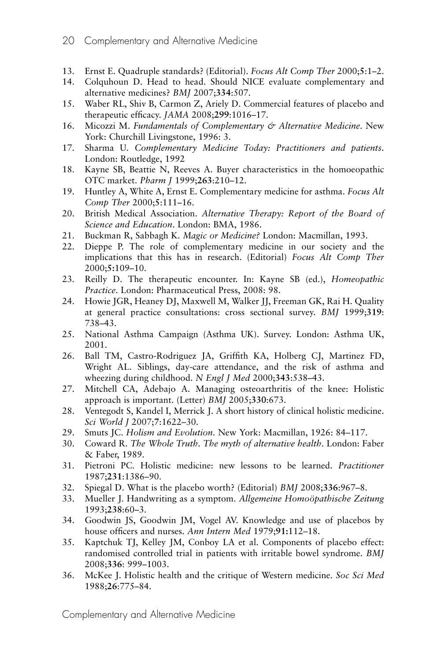- 13. Ernst E. Quadruple standards? (Editorial). *Focus Alt Comp Ther* 2000;**5**:1–2.
- 14. Colquhoun D. Head to head. Should NICE evaluate complementary and alternative medicines? *BMJ* 2007;**334**:507.
- 15. Waber RL, Shiv B, Carmon Z, Ariely D. Commercial features of placebo and therapeutic efficacy. *JAMA* 2008;**299**:1016–17.
- 16. Micozzi M. *Fundamentals of Complementary & Alternative Medicine*. New York: Churchill Livingstone, 1996: 3.
- 17. Sharma U. *Complementary Medicine Today: Practitioners and patients*. London: Routledge, 1992
- 18. Kayne SB, Beattie N, Reeves A. Buyer characteristics in the homoeopathic OTC market. *Pharm J* 1999;**263**:210–12.
- 19. Huntley A, White A, Ernst E. Complementary medicine for asthma. *Focus Alt Comp Ther* 2000;**5**:111–16.
- 20. British Medical Association. *Alternative Therapy: Report of the Board of Science and Education*. London: BMA, 1986.
- 21. Buckman R, Sabbagh K. *Magic or Medicine?* London: Macmillan, 1993.
- 22. Dieppe P. The role of complementary medicine in our society and the implications that this has in research. (Editorial) *Focus Alt Comp Ther* 2000;**5:**109–10.
- 23. Reilly D. The therapeutic encounter. In: Kayne SB (ed.), *Homeopathic Practice*. London: Pharmaceutical Press, 2008: 98.
- 24. Howie JGR, Heaney DJ, Maxwell M, Walker JJ, Freeman GK, Rai H. Quality at general practice consultations: cross sectional survey. *BMJ* 1999;**319**: 738–43.
- 25. National Asthma Campaign (Asthma UK). Survey. London: Asthma UK, 2001.
- 26. Ball TM, Castro-Rodriguez JA, Griffith KA, Holberg CJ, Martinez FD, Wright AL. Siblings, day-care attendance, and the risk of asthma and wheezing during childhood. *N Engl J Med* 2000;**343**:538–43.
- 27. Mitchell CA, Adebajo A. Managing osteoarthritis of the knee: Holistic approach is important. (Letter) *BMJ* 2005;**330**:673.
- 28. Ventegodt S, Kandel I, Merrick J. A short history of clinical holistic medicine. *Sci World J* 2007;**7**:1622*–*30.
- 29. Smuts JC. *Holism and Evolution*. New York: Macmillan, 1926: 84–117.
- 30. Coward R. *The Whole Truth. The myth of alternative health*. London: Faber & Faber, 1989.
- 31. Pietroni PC. Holistic medicine: new lessons to be learned. *Practitioner* 1987;**231**:1386–90.
- 32. Spiegal D. What is the placebo worth? (Editorial) *BMJ* 2008;**336**:967–8.
- 33. Mueller J. Handwriting as a symptom. *Allgemeine Homoöpathische Zeitung* 1993;**238**:60–3.
- 34. Goodwin JS, Goodwin JM, Vogel AV. Knowledge and use of placebos by house officers and nurses. *Ann Intern Med* 1979;**91:**112–18.
- 35. Kaptchuk TJ, Kelley JM, Conboy LA et al. Components of placebo effect: randomised controlled trial in patients with irritable bowel syndrome. *BMJ* 2008;**336**: 999–1003.
- 36. McKee J. Holistic health and the critique of Western medicine. *Soc Sci Med* 1988;**26**:775–84.